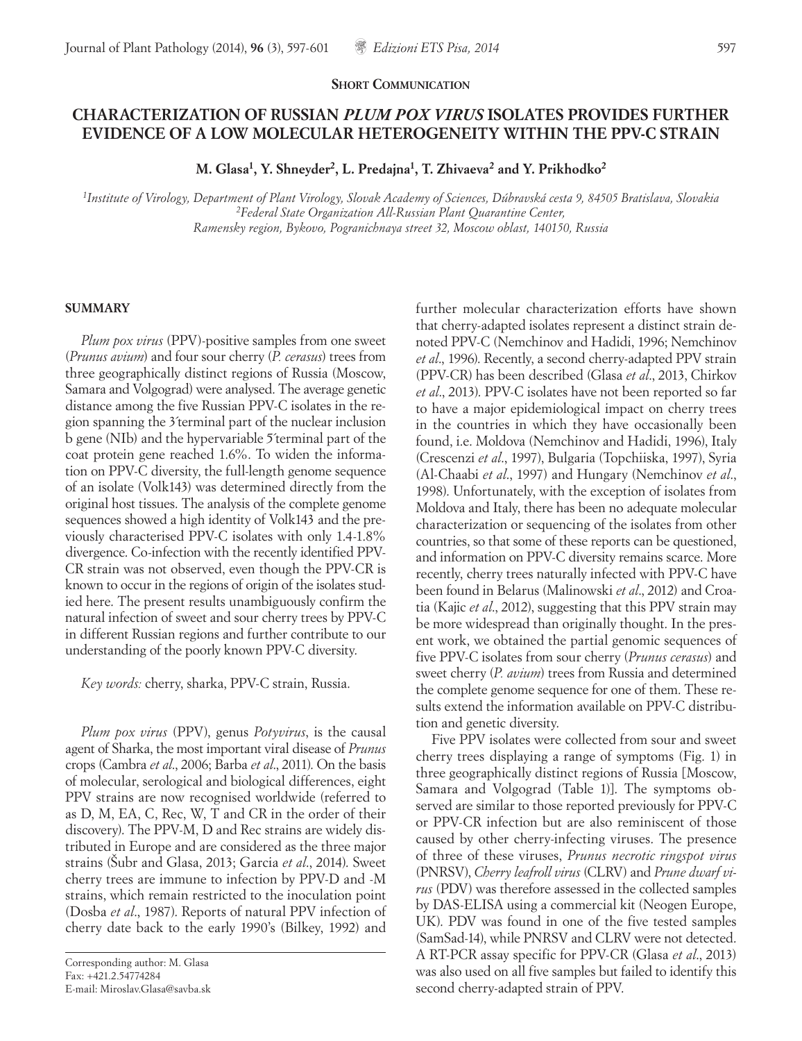## **CHARACTERIZATION OF RUSSIAN** *PLUM POX VIRUS* **ISOLATES PROVIDES FURTHER EVIDENCE OF A LOW MOLECULAR HETEROGENEITY WITHIN THE PPV-C STRAIN**

**M. Glasa1, Y. Shneyder2, L. Predajna1, T. Zhivaeva2 and Y. Prikhodko2**

*1Institute of Virology, Department of Plant Virology, Slovak Academy of Sciences, Dúbravská cesta 9, 84505 Bratislava, Slovakia 2Federal State Organization All-Russian Plant Quarantine Center, Ramensky region, Bykovo, Pogranichnaya street 32, Moscow oblast, 140150, Russia*

## **SUMMARY**

*Plum pox virus* (PPV)-positive samples from one sweet (*Prunus avium*) and four sour cherry (*P. cerasus*) trees from three geographically distinct regions of Russia (Moscow, Samara and Volgograd) were analysed. The average genetic distance among the five Russian PPV-C isolates in the region spanning the 3´terminal part of the nuclear inclusion b gene (NIb) and the hypervariable 5´terminal part of the coat protein gene reached 1.6%. To widen the information on PPV-C diversity, the full-length genome sequence of an isolate (Volk143) was determined directly from the original host tissues. The analysis of the complete genome sequences showed a high identity of Volk143 and the previously characterised PPV-C isolates with only 1.4-1.8% divergence. Co-infection with the recently identified PPV-CR strain was not observed, even though the PPV-CR is known to occur in the regions of origin of the isolates studied here. The present results unambiguously confirm the natural infection of sweet and sour cherry trees by PPV-C in different Russian regions and further contribute to our understanding of the poorly known PPV-C diversity.

*Key words:* cherry, sharka, PPV-C strain, Russia.

*Plum pox virus* (PPV), genus *Potyvirus*, is the causal agent of Sharka, the most important viral disease of *Prunus*  crops (Cambra *et al*., 2006; Barba *et al*., 2011). On the basis of molecular, serological and biological differences, eight PPV strains are now recognised worldwide (referred to as D, M, EA, C, Rec, W, T and CR in the order of their discovery). The PPV-M, D and Rec strains are widely distributed in Europe and are considered as the three major strains (Šubr and Glasa, 2013; Garcia *et al*., 2014). Sweet cherry trees are immune to infection by PPV-D and -M strains, which remain restricted to the inoculation point (Dosba *et al*., 1987). Reports of natural PPV infection of cherry date back to the early 1990's (Bilkey, 1992) and

further molecular characterization efforts have shown that cherry-adapted isolates represent a distinct strain denoted PPV-C (Nemchinov and Hadidi, 1996; Nemchinov *et al*., 1996). Recently, a second cherry-adapted PPV strain (PPV-CR) has been described (Glasa *et al*., 2013, Chirkov *et al*., 2013). PPV-C isolates have not been reported so far to have a major epidemiological impact on cherry trees in the countries in which they have occasionally been found, i.e. Moldova (Nemchinov and Hadidi, 1996), Italy (Crescenzi *et al*., 1997), Bulgaria (Topchiiska, 1997), Syria (Al-Chaabi *et al*., 1997) and Hungary (Nemchinov *et al*., 1998). Unfortunately, with the exception of isolates from Moldova and Italy, there has been no adequate molecular characterization or sequencing of the isolates from other countries, so that some of these reports can be questioned, and information on PPV-C diversity remains scarce. More recently, cherry trees naturally infected with PPV-C have been found in Belarus (Malinowski *et al*., 2012) and Croatia (Kajic *et al*., 2012), suggesting that this PPV strain may be more widespread than originally thought. In the present work, we obtained the partial genomic sequences of five PPV-C isolates from sour cherry (*Prunus cerasus*) and sweet cherry (*P. avium*) trees from Russia and determined the complete genome sequence for one of them. These results extend the information available on PPV-C distribution and genetic diversity.

Five PPV isolates were collected from sour and sweet cherry trees displaying a range of symptoms (Fig. 1) in three geographically distinct regions of Russia [Moscow, Samara and Volgograd (Table 1)]. The symptoms observed are similar to those reported previously for PPV-C or PPV-CR infection but are also reminiscent of those caused by other cherry-infecting viruses. The presence of three of these viruses, *Prunus necrotic ringspot virus* (PNRSV), *Cherry leafroll virus* (CLRV) and *Prune dwarf virus* (PDV) was therefore assessed in the collected samples by DAS-ELISA using a commercial kit (Neogen Europe, UK). PDV was found in one of the five tested samples (SamSad-14), while PNRSV and CLRV were not detected. A RT-PCR assay specific for PPV-CR (Glasa *et al*., 2013) was also used on all five samples but failed to identify this second cherry-adapted strain of PPV.

Corresponding author: M. Glasa Fax: +421.2.54774284 E-mail: Miroslav.Glasa@savba.sk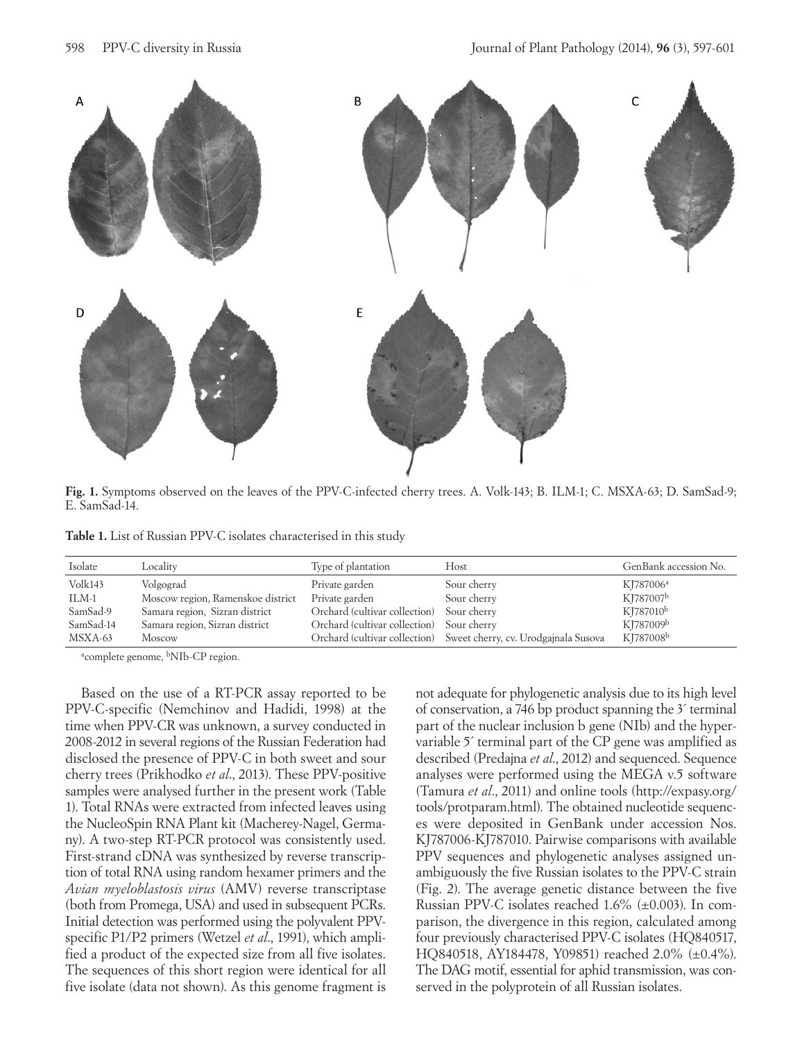

**Fig. 1.** Symptoms observed on the leaves of the PPV-C-infected cherry trees. A. Volk-143; B. ILM-1; C. MSXA-63; D. SamSad-9; E. SamSad-14.

Table 1. List of Russian PPV-C isolates characterised in this study

| Isolate   | Locality                          | Type of plantation            | Host                                                               | GenBank accession No. |
|-----------|-----------------------------------|-------------------------------|--------------------------------------------------------------------|-----------------------|
| Volk143   | Volgograd                         | Private garden                | Sour cherry                                                        | KJ787006 <sup>a</sup> |
| ILM-1     | Moscow region, Ramenskoe district | Private garden                | Sour cherry                                                        | KJ787007b             |
| SamSad-9  | Samara region, Sizran district    | Orchard (cultivar collection) | Sour cherry                                                        | KJ787010 <sup>b</sup> |
| SamSad-14 | Samara region, Sizran district    | Orchard (cultivar collection) | Sour cherry                                                        | KI787009b             |
| MSXA-63   | Moscow                            |                               | Orchard (cultivar collection) Sweet cherry, cv. Urodgajnala Susova | KJ787008b             |

<sup>a</sup>complete genome, <sup>b</sup>NIb-CP region.

Based on the use of a RT-PCR assay reported to be PPV-C-specific (Nemchinov and Hadidi, 1998) at the time when PPV-CR was unknown, a survey conducted in 2008-2012 in several regions of the Russian Federation had disclosed the presence of PPV-C in both sweet and sour cherry trees (Prikhodko *et al*., 2013). These PPV-positive samples were analysed further in the present work (Table 1). Total RNAs were extracted from infected leaves using the NucleoSpin RNA Plant kit (Macherey-Nagel, Germany). A two-step RT-PCR protocol was consistently used. First-strand cDNA was synthesized by reverse transcription of total RNA using random hexamer primers and the *Avian myeloblastosis virus* (AMV) reverse transcriptase (both from Promega, USA) and used in subsequent PCRs. Initial detection was performed using the polyvalent PPVspecific P1/P2 primers (Wetzel *et al*., 1991), which amplified a product of the expected size from all five isolates. The sequences of this short region were identical for all five isolate (data not shown). As this genome fragment is

not adequate for phylogenetic analysis due to its high level of conservation, a 746 bp product spanning the 3´ terminal part of the nuclear inclusion b gene (NIb) and the hypervariable 5´ terminal part of the CP gene was amplified as described (Predajna *et al*., 2012) and sequenced. Sequence analyses were performed using the MEGA v.5 software (Tamura *et al*., 2011) and online tools (http://expasy.org/ tools/protparam.html). The obtained nucleotide sequences were deposited in GenBank under accession Nos. KJ787006-KJ787010. Pairwise comparisons with available PPV sequences and phylogenetic analyses assigned unambiguously the five Russian isolates to the PPV-C strain (Fig. 2). The average genetic distance between the five Russian PPV-C isolates reached 1.6% (±0.003). In comparison, the divergence in this region, calculated among four previously characterised PPV-C isolates (HQ840517, HQ840518, AY184478, Y09851) reached 2.0% (±0.4%). The DAG motif, essential for aphid transmission, was conserved in the polyprotein of all Russian isolates.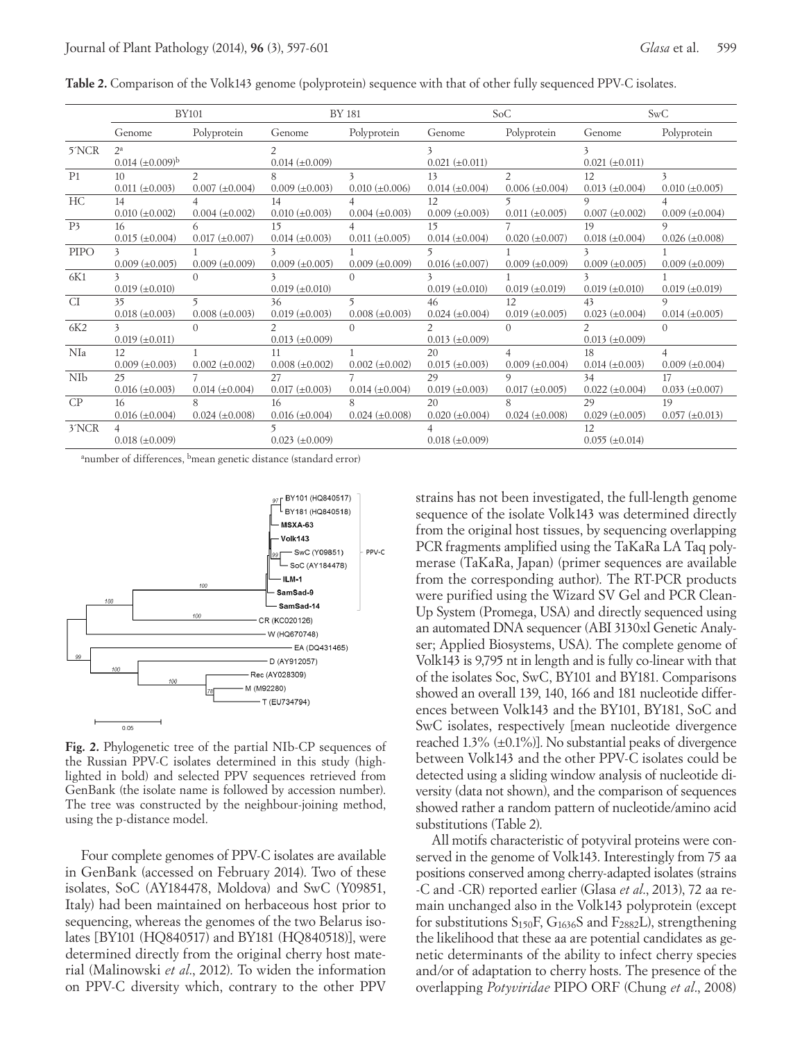|                    | <b>BY101</b>                            |                                         | <b>BY 181</b>                          |                            | SoC                                    |                                         | SwC                                    |                                     |
|--------------------|-----------------------------------------|-----------------------------------------|----------------------------------------|----------------------------|----------------------------------------|-----------------------------------------|----------------------------------------|-------------------------------------|
|                    | Genome                                  | Polyprotein                             | Genome                                 | Polyprotein                | Genome                                 | Polyprotein                             | Genome                                 | Polyprotein                         |
| 5NCR               | $2^a$<br>$0.014 \ (\pm 0.009)^{b}$      |                                         | $0.014 \ (\pm 0.009)$                  |                            | $0.021 (\pm 0.011)$                    |                                         | $0.021 (\pm 0.011)$                    |                                     |
| P <sub>1</sub>     | 10<br>$0.011 (\pm 0.003)$               | $\mathfrak{D}$<br>$0.007 \ (\pm 0.004)$ | 8<br>$0.009 \ (\pm 0.003)$             | 3<br>$0.010 \ (\pm 0.006)$ | 13<br>$0.014 \ (\pm 0.004)$            | $\mathfrak{D}$<br>$0.006 (\pm 0.004)$   | 12<br>$0.013 \ (\pm 0.004)$            | $0.010 \ (\pm 0.005)$               |
| HC                 | 14<br>$0.010 \ (\pm 0.002)$             | $0.004 \ (\pm 0.002)$                   | 14<br>$0.010 \ (\pm 0.003)$            | $0.004 \ (\pm 0.003)$      | 12<br>$0.009 \ (\pm 0.003)$            | $0.011 (\pm 0.005)$                     | 9<br>$0.007 (\pm 0.002)$               | $0.009 \ (\pm 0.004)$               |
| P <sub>3</sub>     | 16<br>$0.015 \ (\pm 0.004)$             | 6<br>$0.017 (\pm 0.007)$                | 15<br>$0.014 \ (\pm 0.003)$            | $0.011 (\pm 0.005)$        | 15<br>$0.014 \ (\pm 0.004)$            | $0.020 \ (\pm 0.007)$                   | 19<br>$0.018 (\pm 0.004)$              | <sup>Q</sup><br>$0.026 (\pm 0.008)$ |
| <b>PIPO</b>        | $0.009 \ (\pm 0.005)$                   | $0.009 \ (\pm 0.009)$                   | $0.009 \ (\pm 0.005)$                  | $0.009 \ (\pm 0.009)$      | $0.016 \ (\pm 0.007)$                  | $0.009 \ (\pm 0.009)$                   | $0.009 \ (\pm 0.005)$                  | $0.009 \ (\pm 0.009)$               |
| 6K1                | $0.019 \ (\pm 0.010)$                   | $\Omega$                                | $0.019 \ (\pm 0.010)$                  | $\Omega$                   | $0.019 \ (\pm 0.010)$                  | $0.019 \ (\pm 0.019)$                   | 3<br>$0.019 \ (\pm 0.010)$             | $0.019 \ (\pm 0.019)$               |
| CI                 | 35<br>$0.018 (\pm 0.003)$               | 5<br>$0.008 (\pm 0.003)$                | 36<br>$0.019 \ (\pm 0.003)$            | 5<br>$0.008 (\pm 0.003)$   | 46<br>$0.024 \ (\pm 0.004)$            | 12<br>$0.019 \ (\pm 0.005)$             | 43<br>$0.023 \ (\pm 0.004)$            | Q.<br>$0.014 \ (\pm 0.005)$         |
| 6K2                | $\overline{3}$<br>$0.019 \ (\pm 0.011)$ | $\Omega$                                | $\mathcal{P}$<br>$0.013 \ (\pm 0.009)$ | $\Omega$                   | $\mathcal{P}$<br>$0.013 \ (\pm 0.009)$ | $\Omega$                                | $\mathcal{P}$<br>$0.013 \ (\pm 0.009)$ | $\Omega$                            |
| NIa                | 12<br>$0.009 \ (\pm 0.003)$             | $0.002 \ (\pm 0.002)$                   | 11<br>$0.008 (\pm 0.002)$              | $0.002 \ (\pm 0.002)$      | 20<br>$0.015 \ (\pm 0.003)$            | $\overline{4}$<br>$0.009 \ (\pm 0.004)$ | 18<br>$0.014 \ (\pm 0.003)$            | $0.009 \ (\pm 0.004)$               |
| NIb                | 25<br>$0.016 \ (\pm 0.003)$             | $0.014 \ (\pm 0.004)$                   | 27<br>$0.017 \ (\pm 0.003)$            | $0.014 \ (\pm 0.004)$      | 29<br>$0.019 \ (\pm 0.003)$            | 9<br>$0.017 \ (\pm 0.005)$              | 34<br>$0.022 \ (\pm 0.004)$            | 17<br>$0.033 \ (\pm 0.007)$         |
| CP                 | 16<br>$0.016 (\pm 0.004)$               | $0.024 \ (\pm 0.008)$                   | 16<br>$0.016 \ (\pm 0.004)$            | $0.024 \ (\pm 0.008)$      | 20<br>$0.020 (\pm 0.004)$              | $0.024 (\pm 0.008)$                     | 29<br>$0.029 \ (\pm 0.005)$            | 19<br>$0.057 (\pm 0.013)$           |
| 3 <sup>X</sup> NCR | $0.018 (\pm 0.009)$                     |                                         | $0.023 \ (\pm 0.009)$                  |                            | $0.018 (\pm 0.009)$                    |                                         | 12<br>$0.055 \ (\pm 0.014)$            |                                     |

**Table 2.** Comparison of the Volk143 genome (polyprotein) sequence with that of other fully sequenced PPV-C isolates.

<sup>a</sup>number of differences, <sup>b</sup>mean genetic distance (standard error)



**Fig. 2.** Phylogenetic tree of the partial NIb-CP sequences of the Russian PPV-C isolates determined in this study (highlighted in bold) and selected PPV sequences retrieved from GenBank (the isolate name is followed by accession number). The tree was constructed by the neighbour-joining method, using the p-distance model.

Four complete genomes of PPV-C isolates are available in GenBank (accessed on February 2014). Two of these isolates, SoC (AY184478, Moldova) and SwC (Y09851, Italy) had been maintained on herbaceous host prior to sequencing, whereas the genomes of the two Belarus isolates [BY101 (HQ840517) and BY181 (HQ840518)], were determined directly from the original cherry host material (Malinowski *et al*., 2012). To widen the information on PPV-C diversity which, contrary to the other PPV

strains has not been investigated, the full-length genome sequence of the isolate Volk143 was determined directly from the original host tissues, by sequencing overlapping PCR fragments amplified using the TaKaRa LA Taq polymerase (TaKaRa, Japan) (primer sequences are available from the corresponding author). The RT-PCR products were purified using the Wizard SV Gel and PCR Clean-Up System (Promega, USA) and directly sequenced using an automated DNA sequencer (ABI 3130xl Genetic Analyser; Applied Biosystems, USA). The complete genome of Volk143 is 9,795 nt in length and is fully co-linear with that of the isolates Soc, SwC, BY101 and BY181. Comparisons showed an overall 139, 140, 166 and 181 nucleotide differences between Volk143 and the BY101, BY181, SoC and SwC isolates, respectively [mean nucleotide divergence reached 1.3%  $(\pm 0.1\%)$ . No substantial peaks of divergence between Volk143 and the other PPV-C isolates could be detected using a sliding window analysis of nucleotide diversity (data not shown), and the comparison of sequences showed rather a random pattern of nucleotide/amino acid substitutions (Table 2).

All motifs characteristic of potyviral proteins were conserved in the genome of Volk143. Interestingly from 75 aa positions conserved among cherry-adapted isolates (strains -C and -CR) reported earlier (Glasa *et al*., 2013), 72 aa remain unchanged also in the Volk143 polyprotein (except for substitutions  $S_{150}F$ ,  $G_{1636}S$  and  $F_{2882}L$ ), strengthening the likelihood that these aa are potential candidates as genetic determinants of the ability to infect cherry species and/or of adaptation to cherry hosts. The presence of the overlapping *Potyviridae* PIPO ORF (Chung *et al*., 2008)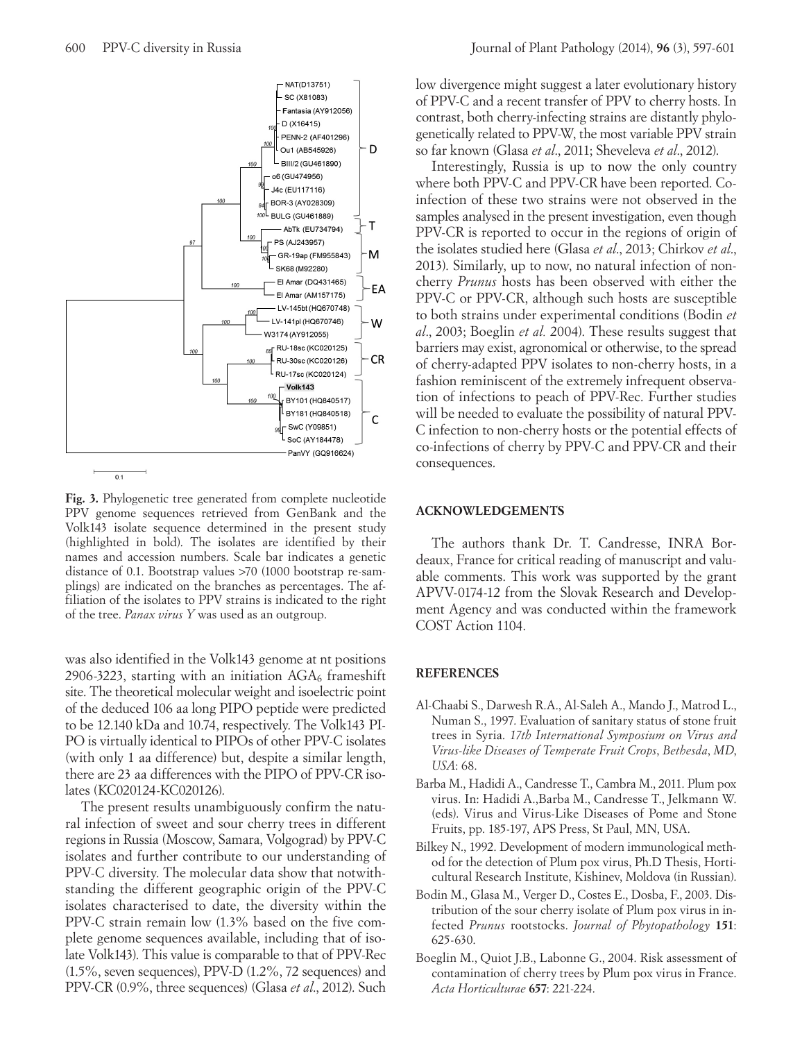

**Fig. 3.** Phylogenetic tree generated from complete nucleotide PPV genome sequences retrieved from GenBank and the Volk143 isolate sequence determined in the present study (highlighted in bold). The isolates are identified by their names and accession numbers. Scale bar indicates a genetic distance of 0.1. Bootstrap values >70 (1000 bootstrap re-samplings) are indicated on the branches as percentages. The affiliation of the isolates to PPV strains is indicated to the right of the tree. *Panax virus Y* was used as an outgroup.

was also identified in the Volk143 genome at nt positions 2906-3223, starting with an initiation  $AGA<sub>6</sub>$  frameshift site. The theoretical molecular weight and isoelectric point of the deduced 106 aa long PIPO peptide were predicted to be 12.140 kDa and 10.74, respectively. The Volk143 PI-PO is virtually identical to PIPOs of other PPV-C isolates (with only 1 aa difference) but, despite a similar length, there are 23 aa differences with the PIPO of PPV-CR isolates (KC020124-KC020126).

The present results unambiguously confirm the natural infection of sweet and sour cherry trees in different regions in Russia (Moscow, Samara, Volgograd) by PPV-C isolates and further contribute to our understanding of PPV-C diversity. The molecular data show that notwithstanding the different geographic origin of the PPV-C isolates characterised to date, the diversity within the PPV-C strain remain low (1.3% based on the five complete genome sequences available, including that of isolate Volk143). This value is comparable to that of PPV-Rec (1.5%, seven sequences), PPV-D (1.2%, 72 sequences) and PPV-CR (0.9%, three sequences) (Glasa *et al*., 2012). Such

low divergence might suggest a later evolutionary history of PPV-C and a recent transfer of PPV to cherry hosts. In contrast, both cherry-infecting strains are distantly phylogenetically related to PPV-W, the most variable PPV strain so far known (Glasa *et al*., 2011; Sheveleva *et al*., 2012).

Interestingly, Russia is up to now the only country where both PPV-C and PPV-CR have been reported. Coinfection of these two strains were not observed in the samples analysed in the present investigation, even though PPV-CR is reported to occur in the regions of origin of the isolates studied here (Glasa *et al*., 2013; Chirkov *et al*., 2013). Similarly, up to now, no natural infection of noncherry *Prunus* hosts has been observed with either the PPV-C or PPV-CR, although such hosts are susceptible to both strains under experimental conditions (Bodin *et al*., 2003; Boeglin *et al.* 2004). These results suggest that barriers may exist, agronomical or otherwise, to the spread of cherry-adapted PPV isolates to non-cherry hosts, in a fashion reminiscent of the extremely infrequent observation of infections to peach of PPV-Rec. Further studies will be needed to evaluate the possibility of natural PPV-C infection to non-cherry hosts or the potential effects of co-infections of cherry by PPV-C and PPV-CR and their consequences.

## **ACKNOWLEDGEMENTS**

The authors thank Dr. T. Candresse, INRA Bordeaux, France for critical reading of manuscript and valuable comments. This work was supported by the grant APVV-0174-12 from the Slovak Research and Development Agency and was conducted within the framework COST Action 1104.

## **REFERENCES**

- Al-Chaabi S., Darwesh R.A., Al-Saleh A., Mando J., Matrod L., Numan S., 1997. Evaluation of sanitary status of stone fruit trees in Syria. *17th International Symposium on Virus and Virus-like Diseases of Temperate Fruit Crops*, *Bethesda*, *MD*, *USA*: 68.
- Barba M., Hadidi A., Candresse T., Cambra M., 2011. Plum pox virus. In: Hadidi A.,Barba M., Candresse T., Jelkmann W. (eds). Virus and Virus-Like Diseases of Pome and Stone Fruits, pp. 185-197, APS Press, St Paul, MN, USA.
- Bilkey N., 1992. Development of modern immunological method for the detection of Plum pox virus, Ph.D Thesis, Horticultural Research Institute, Kishinev, Moldova (in Russian).
- Bodin M., Glasa M., Verger D., Costes E., Dosba, F., 2003. Distribution of the sour cherry isolate of Plum pox virus in infected *Prunus* rootstocks. *Journal of Phytopathology* **151**: 625-630.
- Boeglin M., Quiot J.B., Labonne G., 2004. Risk assessment of contamination of cherry trees by Plum pox virus in France. *Acta Horticulturae* **657**: 221-224.